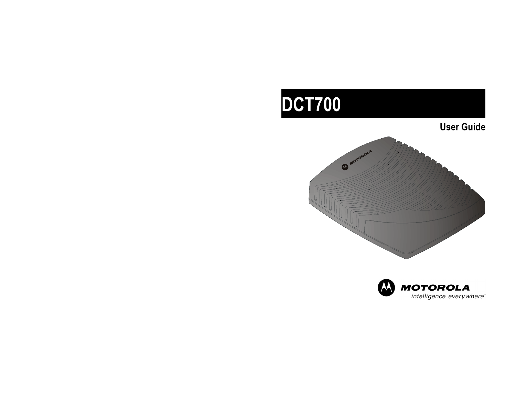# DCT700

User Guide



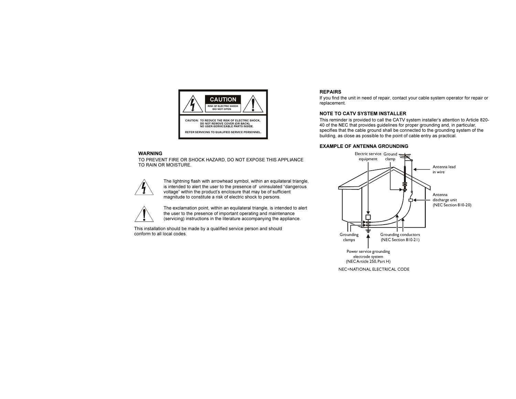

#### WARNING

TO PREVENT FIRE OR SHOCK HAZARD, DO NOT EXPOSE THIS APPLIANCE TO RAIN OR MOISTURE.



The lightning flash with arrowhead symbol, within an equilateral triangle, is intended to alert the user to the presence of uninsulated "dangerous voltage" within the product's enclosure that may be of sufficient magnitude to constitute a risk of electric shock to persons.



The exclamation point, within an equilateral triangle, is intended to alert the user to the presence of important operating and maintenance (servicing) instructions in the literature accompanying the appliance.

This installation should be made by a qualified service person and should conform to all local codes.

#### **REPAIRS**

If you find the unit in need of repair, contact your cable system operator for repair or replacement.

#### NOTE TO CATV SYSTEM INSTALLER

This reminder is provided to call the CATV system installer's attention to Article 820- 40 of the NEC that provides guidelines for proper grounding and, in particular, specifies that the cable ground shall be connected to the grounding system of the building, as close as possible to the point of cable entry as practical.

#### EXAMPLE OF ANTENNA GROUNDING

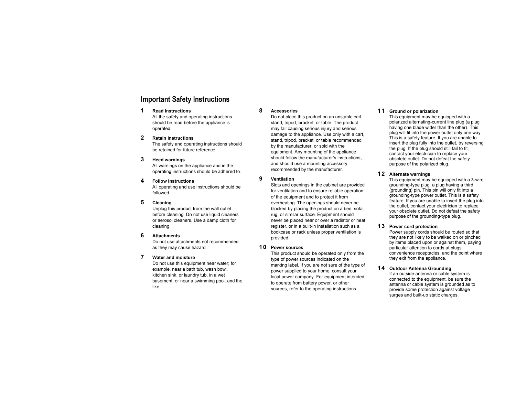# Important Safety Instructions

#### 1 Read instructions

All the safety and operating instructions should be read before the appliance is operated.

#### 2 Retain instructions

The safety and operating instructions should be retained for future reference.

#### 3 Heed warnings

All warnings on the appliance and in the operating instructions should be adhered to.

#### 4 Follow instructions

All operating and use instructions should be followed.

#### 5 Cleaning

Unplug this product from the wall outlet before cleaning. Do not use liquid cleaners or aerosol cleaners. Use a damp cloth for cleaning.

#### 6 Attachments

Do not use attachments not recommended as they may cause hazard.

#### 7 Water and moisture

Do not use this equipment near water; for example, near a bath tub, wash bowl, kitchen sink, or laundry tub, in a wet basement, or near a swimming pool, and the like.

#### 8 Accessories

Do not place this product on an unstable cart. stand, tripod, bracket, or table. The product may fall causing serious injury and serious damage to the appliance. Use only with a cart, stand, tripod, bracket, or table recommended by the manufacturer, or sold with the equipment. Any mounting of the appliance should follow the manufacturer's instructions, and should use a mounting accessory recommended by the manufacturer.

#### 9 Ventilation

Slots and openings in the cabinet are provided for ventilation and to ensure reliable operation of the equipment and to protect it from overheating. The openings should never be blocked by placing the product on a bed, sofa, rug, or similar surface. Equipment should never be placed near or over a radiator or heat register, or in a built-in installation such as a bookcase or rack unless proper ventilation is provided.

#### 10 Power sources

This product should be operated only from the type of power sources indicated on the marking label. If you are not sure of the type of power supplied to your home, consult your local power company. For equipment intended to operate from battery power, or other sources, refer to the operating instructions.

#### 11 Ground or polarization

This equipment may be equipped with a polarized alternating-current line plug (a plug having one blade wider than the other). This plug will fit into the power outlet only one way. This is a safety feature. If you are unable to insert the plug fully into the outlet, try reversing the plug. If the plug should still fail to fit. contact your electrician to replace your obsolete outlet. Do not defeat the safety purpose of the polarized plug.

#### 12 Alternate warnings

This equipment may be equipped with a 3-wire grounding-type plug, a plug having a third (grounding) pin. This pin will only fit into a grounding-type power outlet. This is a safety feature. If you are unable to insert the plug into the outlet, contact your electrician to replace your obsolete outlet. Do not defeat the safety purpose of the grounding-type plug.

#### 13 Power cord protection

Power supply cords should be routed so that they are not likely to be walked on or pinched by items placed upon or against them, paying particular attention to cords at plugs, convenience receptacles, and the point where they exit from the appliance.

#### 14 Outdoor Antenna Grounding

If an outside antenna or cable system is connected to the equipment, be sure the antenna or cable system is grounded as to provide some protection against voltage surges and built-up static charges.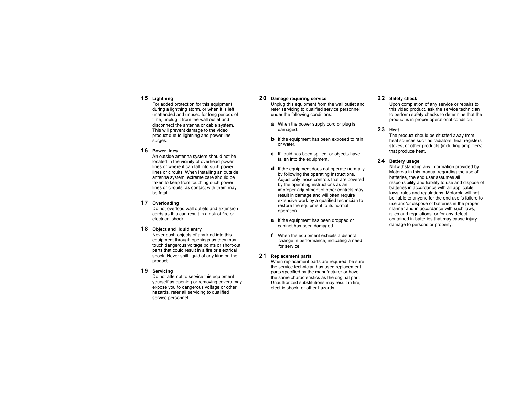#### 15 Lightning

For added protection for this equipment during a lightning storm, or when it is left unattended and unused for long periods of time, unplug it from the wall outlet and disconnect the antenna or cable system. This will prevent damage to the video product due to lightning and power line surges.

#### 16 Power lines

An outside antenna system should not be located in the vicinity of overhead power lines or where it can fall into such power lines or circuits. When installing an outside antenna system, extreme care should be taken to keep from touching such power lines or circuits, as contact with them may be fatal.

#### 17 Overloading

Do not overload wall outlets and extension cords as this can result in a risk of fire or electrical shock.

#### 18 Object and liquid entry

Never push objects of any kind into this equipment through openings as they may touch dangerous voltage points or short-out parts that could result in a fire or electrical shock. Never spill liquid of any kind on the product.

#### 19 Servicing

Do not attempt to service this equipment yourself as opening or removing covers may expose you to dangerous voltage or other hazards, refer all servicing to qualified service personnel.

#### 20 Damage requiring service

Unplug this equipment from the wall outlet and refer servicing to qualified service personnel under the following conditions:

- **a** When the power supply cord or plug is damaged.
- $\bullet$  If the equipment has been exposed to rain or water.
- $\epsilon$  If liquid has been spilled, or objects have fallen into the equipment.
- d If the equipment does not operate normally by following the operating instructions. Adjust only those controls that are covered by the operating instructions as an improper adjustment of other controls may result in damage and will often require extensive work by a qualified technician to restore the equipment to its normal operation.
- **e** If the equipment has been dropped or cabinet has been damaged.
- $f$  When the equipment exhibits a distinct change in performance, indicating a need for service.

#### 21 Replacement parts

When replacement parts are required, be sure the service technician has used replacement parts specified by the manufacturer or have the same characteristics as the original part. Unauthorized substitutions may result in fire, electric shock, or other hazards.

#### 22 Safety check

Upon completion of any service or repairs to this video product, ask the service technician to perform safety checks to determine that the product is in proper operational condition.

#### 23 Heat

The product should be situated away from heat sources such as radiators, heat registers, stoves, or other products (including amplifiers) that produce heat.

#### 24 Battery usage

Notwithstanding any information provided by Motorola in this manual regarding the use of batteries, the end user assumes all responsibility and liability to use and dispose of batteries in accordance with all applicable laws, rules and regulations. Motorola will not be liable to anyone for the end user's failure to use and/or dispose of batteries in the proper manner and in accordance with such laws rules and regulations, or for any defect contained in batteries that may cause injury damage to persons or property.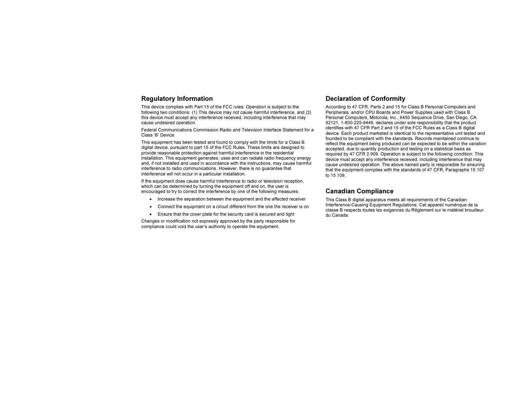This device complies with Part 15 of the FCC rules. Operation is subject to the following two conditions: (1) This device may not cause harmful interference, and (2) this device must accept any interference received, including interference that may cause undesired operation.

Federal Communications Commission Radio and Television Interface Statement for a Class 'B' Device

This equipment has been tested and found to comply with the limits for a Class B digital device, pursuant to part 15 of the FCC Rules. These limits are designed to provide reasonable protection against harmful interference in the residential installation. This equipment generates, uses and can radiate radio frequency energy and, if not installed and used in accordance with the instructions, may cause harmful interference to radio communications. However, there is no guarantee that interference will not occur in a particular installation.

If the equipment does cause harmful interference to radio or television reception, which can be determined by turning the equipment off and on, the user is encouraged to try to correct the interference by one of the following measures:

- Increase the separation between the equipment and the affected receiver
- Connect the equipment on a circuit different from the one the receiver is on
- Ensure that the cover plate for the security card is secured and tight

Changes or modification not expressly approved by the party responsible for compliance could void the user's authority to operate the equipment.

### Regulatory Information Declaration of Conformity

According to 47 CFR, Parts 2 and 15 for Class B Personal Computers and Peripherals; and/or CPU Boards and Power Supplies used with Class B Personal Computers, Motorola, Inc., 6450 Sequence Drive, San Diego, CA 92121, 1-800-225-9446, declares under sole responsibility that the product identifies with 47 CFR Part 2 and 15 of the FCC Rules as a Class B digital device. Each product marketed is identical to the representative unit tested and founded to be compliant with the standards. Records maintained continue to reflect the equipment being produced can be expected to be within the variation accepted, due to quantity production and testing on a statistical basis as required by 47 CFR 2.909. Operation is subject to the following condition: This device must accept any interference received, including interference that may cause undesired operation. The above named party is responsible for ensuring that the equipment complies with the standards of 47 CFR, Paragraphs 15.107 to 15.109.

### Canadian Compliance

This Class B digital apparatus meets all requirements of the Canadian Interference-Causing Equipment Regulations. Cet appareil numérique de la classe B respects toutes les exigences du Règlement sur le matériel brouilleur du Canada.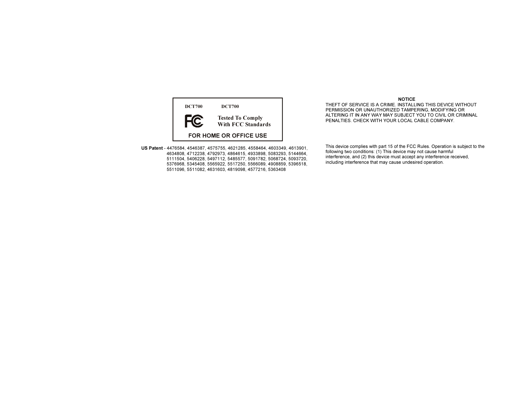

US Patent - 4476584, 4546387, 4575755, 4621285, 4558464, 4603349, 4613901, 4634808, 4712238, 4792973, 4864615, 4933898, 5083293, 5144664, 5111504, 5406228, 5497112, 5485577, 5091782, 5068724, 5093720, 5376968, 5345408, 5565922, 5517250, 5566089, 4908859, 5396518, 5511096, 5511082, 4631603, 4819098, 4577216, 5363408

#### NOTICE

 THEFT OF SERVICE IS A CRIME. INSTALLING THIS DEVICE WITHOUT PERMISSION OR UNAUTHORIZED TAMPERING, MODIFYING OR ALTERING IT IN ANY WAY MAY SUBJECT YOU TO CIVIL OR CRIMINAL PENALTIES. CHECK WITH YOUR LOCAL CABLE COMPANY.

This device complies with part 15 of the FCC Rules. Operation is subject to the following two conditions: (1) This device may not cause harmful interference, and (2) this device must accept any interference received, including interference that may cause undesired operation.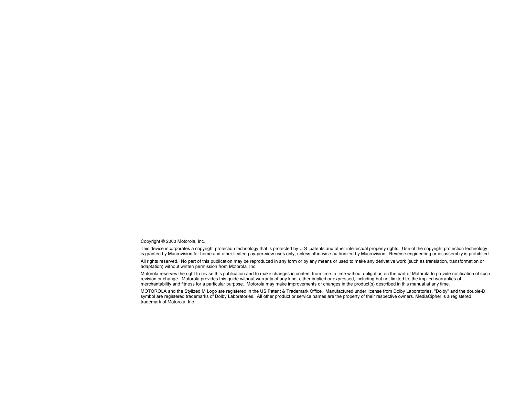Copyright © 2003 Motorola, Inc.

This device incorporates a copyright protection technology that is protected by U.S. patents and other intellectual property rights. Use of the copyright protection technology is granted by Macrovision for home and other limited pay-per-view uses only, unless otherwise authorized by Macrovision. Reverse engineering or disassembly is prohibited.

All rights reserved. No part of this publication may be reproduced in any form or by any means or used to make any derivative work (such as translation, transformation or adaptation) without written permission from Motorola, Inc.

Motorola reserves the right to revise this publication and to make changes in content from time to time without obligation on the part of Motorola to provide notification of such revision or change. Motorola provides this guide without warranty of any kind, either implied or expressed, including but not limited to, the implied warranties of merchantability and fitness for a particular purpose. Motorola may make improvements or changes in the product(s) described in this manual at any time.

MOTOROLA and the Stylized M Logo are registered in the US Patent & Trademark Office. Manufactured under license from Dolby Laboratories. "Dolby" and the double-D symbol are registered trademarks of Dolby Laboratories. All other product or service names are the property of their respective owners. MediaCipher is a registered trademark of Motorola, Inc.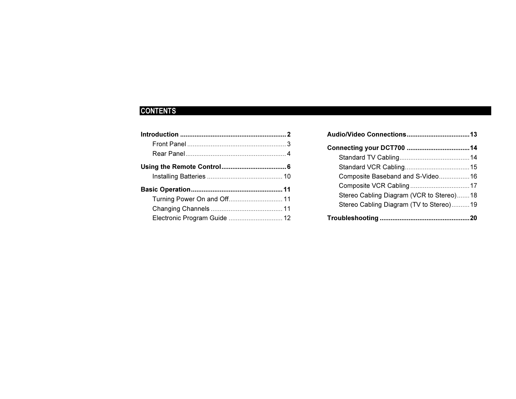# CONTENTS

| Turning Power On and Off 11  |  |
|------------------------------|--|
|                              |  |
| Electronic Program Guide  12 |  |

| Composite Baseband and S-Video 16        |  |
|------------------------------------------|--|
|                                          |  |
| Stereo Cabling Diagram (VCR to Stereo)18 |  |
| Stereo Cabling Diagram (TV to Stereo)19  |  |
|                                          |  |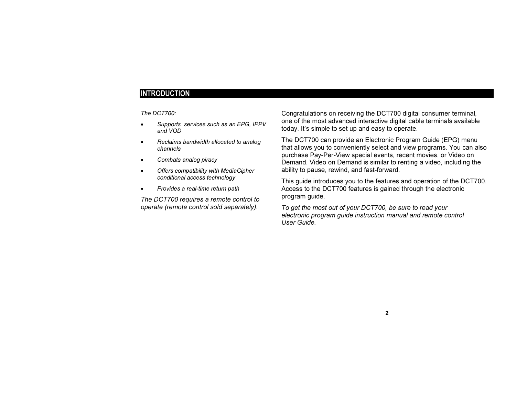The DCT700:

- Supports services such as an EPG, IPPV and VOD
- Reclaims bandwidth allocated to analog channels
- Combats analog piracy
- Offers compatibility with MediaCipher conditional access technology
- Provides a real-time return path

The DCT700 requires a remote control to operate (remote control sold separately).

Congratulations on receiving the DCT700 digital consumer terminal, one of the most advanced interactive digital cable terminals available today. It's simple to set up and easy to operate.

The DCT700 can provide an Electronic Program Guide (EPG) menu that allows you to conveniently select and view programs. You can also purchase Pay-Per-View special events, recent movies, or Video on Demand. Video on Demand is similar to renting a video, including the ability to pause, rewind, and fast-forward.

This guide introduces you to the features and operation of the DCT700. Access to the DCT700 features is gained through the electronic program guide.

To get the most out of your DCT700, be sure to read your electronic program guide instruction manual and remote control User Guide.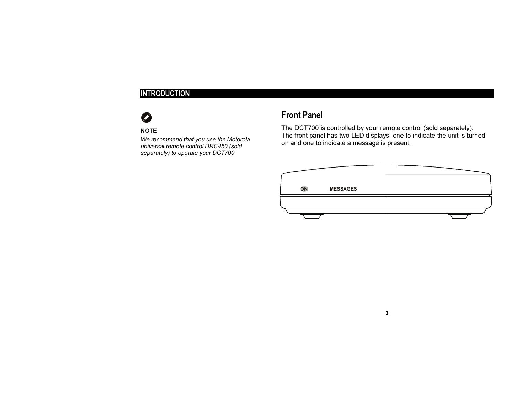#### **NOTE**

We recommend that you use the Motorola universal remote control DRC450 (sold separately) to operate your DCT700.

# Front Panel

The DCT700 is controlled by your remote control (sold separately). The front panel has two LED displays: one to indicate the unit is turned on and one to indicate a message is present.

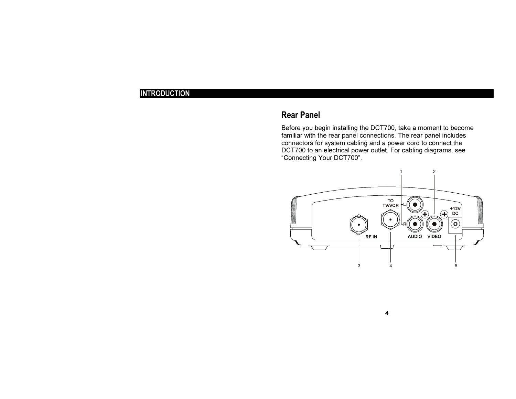# Rear Panel

Before you begin installing the DCT700, take a moment to become familiar with the rear panel connections. The rear panel includes connectors for system cabling and a power cord to connect the DCT700 to an electrical power outlet. For cabling diagrams, see "Connecting Your DCT700".

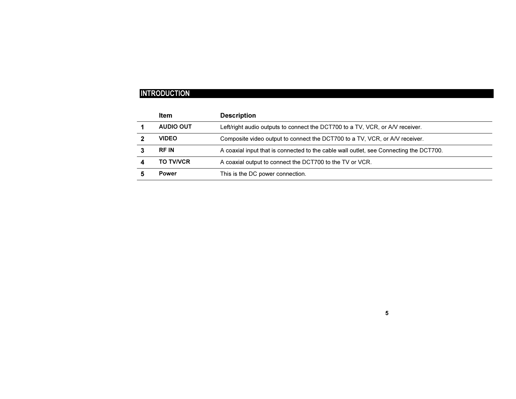| Item             | <b>Description</b>                                                                     |
|------------------|----------------------------------------------------------------------------------------|
| AUDIO OUT        | Left/right audio outputs to connect the DCT700 to a TV, VCR, or A/V receiver.          |
| <b>VIDEO</b>     | Composite video output to connect the DCT700 to a TV, VCR, or A/V receiver.            |
| <b>RF IN</b>     | A coaxial input that is connected to the cable wall outlet, see Connecting the DCT700. |
| <b>TO TV/VCR</b> | A coaxial output to connect the DCT700 to the TV or VCR.                               |
| Power            | This is the DC power connection.                                                       |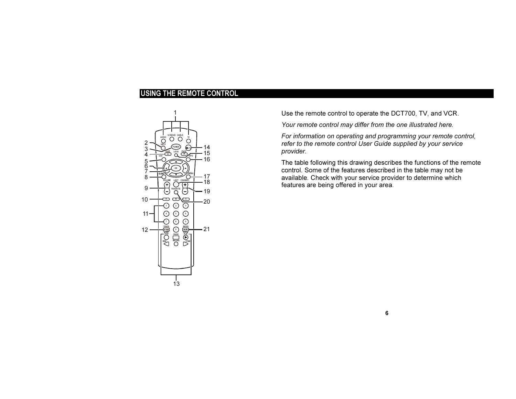

Use the remote control to operate the DCT700, TV, and VCR.

Your remote control may differ from the one illustrated here.

For information on operating and programming your remote control, refer to the remote control User Guide supplied by your service provider.

The table following this drawing describes the functions of the remote control. Some of the features described in the table may not be available. Check with your service provider to determine which features are being offered in your area.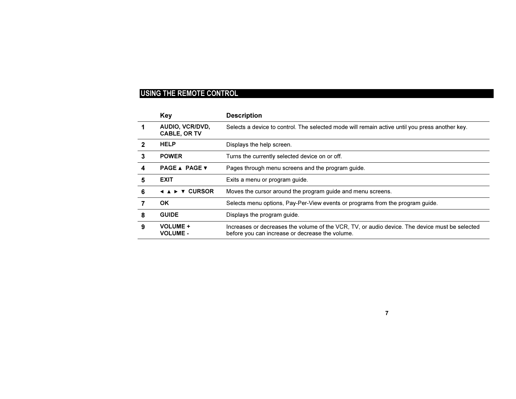|   | Key                                    | <b>Description</b>                                                                                                                                |
|---|----------------------------------------|---------------------------------------------------------------------------------------------------------------------------------------------------|
|   | AUDIO, VCR/DVD,<br><b>CABLE, OR TV</b> | Selects a device to control. The selected mode will remain active until you press another key.                                                    |
|   | <b>HELP</b>                            | Displays the help screen.                                                                                                                         |
| 3 | <b>POWER</b>                           | Turns the currently selected device on or off.                                                                                                    |
| 4 | <b>PAGE ▲ PAGE ▼</b>                   | Pages through menu screens and the program guide.                                                                                                 |
| 5 | <b>EXIT</b>                            | Exits a menu or program guide.                                                                                                                    |
| 6 | <b>CURSOR</b>                          | Moves the cursor around the program guide and menu screens.                                                                                       |
|   | OK.                                    | Selects menu options, Pay-Per-View events or programs from the program guide.                                                                     |
| 8 | <b>GUIDE</b>                           | Displays the program guide.                                                                                                                       |
| 9 | <b>VOLUME +</b><br><b>VOLUME -</b>     | Increases or decreases the volume of the VCR, TV, or audio device. The device must be selected<br>before you can increase or decrease the volume. |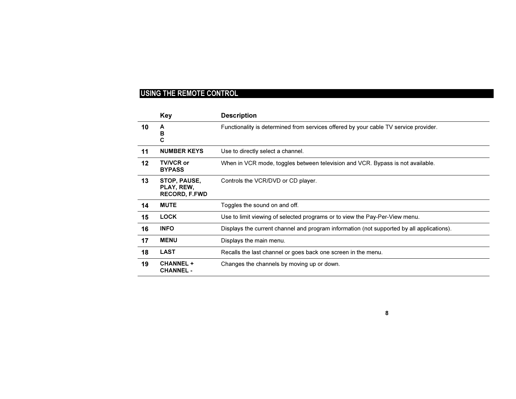|         | <b>Key</b>                                         | <b>Description</b>                                                                        |
|---------|----------------------------------------------------|-------------------------------------------------------------------------------------------|
| 10      | A<br>в<br>С                                        | Functionality is determined from services offered by your cable TV service provider.      |
| 11      | <b>NUMBER KEYS</b>                                 | Use to directly select a channel.                                                         |
| $12 \,$ | <b>TV/VCR or</b><br><b>BYPASS</b>                  | When in VCR mode, toggles between television and VCR. Bypass is not available.            |
| 13      | STOP, PAUSE,<br>PLAY, REW,<br><b>RECORD, F.FWD</b> | Controls the VCR/DVD or CD player.                                                        |
| 14      | <b>MUTE</b>                                        | Toggles the sound on and off.                                                             |
| 15      | <b>LOCK</b>                                        | Use to limit viewing of selected programs or to view the Pay-Per-View menu.               |
| 16      | <b>INFO</b>                                        | Displays the current channel and program information (not supported by all applications). |
| 17      | <b>MENU</b>                                        | Displays the main menu.                                                                   |
| 18      | <b>LAST</b>                                        | Recalls the last channel or goes back one screen in the menu.                             |
| 19      | <b>CHANNEL +</b><br><b>CHANNEL -</b>               | Changes the channels by moving up or down.                                                |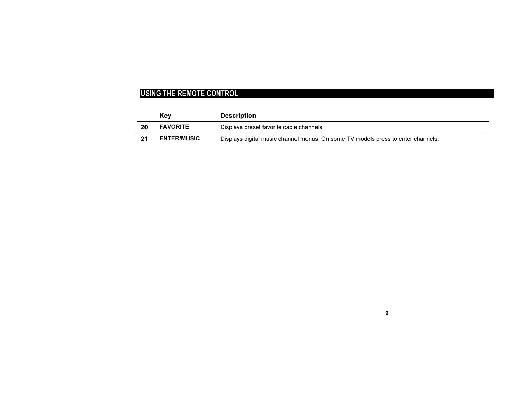|    | Kev                | <b>Description</b>                                                               |  |
|----|--------------------|----------------------------------------------------------------------------------|--|
| 20 | <b>FAVORITE</b>    | Displays preset favorite cable channels.                                         |  |
|    | <b>ENTER/MUSIC</b> | Displays digital music channel menus. On some TV models press to enter channels. |  |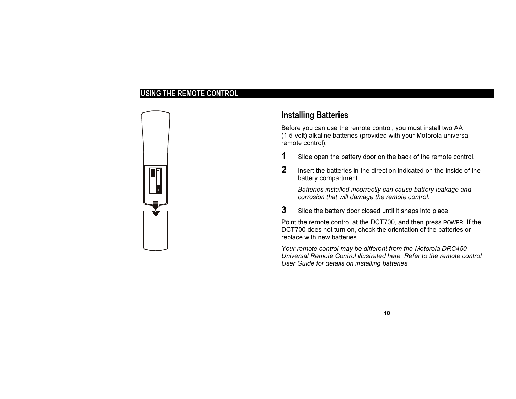

# Installing Batteries

Before you can use the remote control, you must install two AA (1.5-volt) alkaline batteries (provided with your Motorola universal remote control):

- **1** Slide open the battery door on the back of the remote control.
- 2 Insert the batteries in the direction indicated on the inside of the battery compartment.

Batteries installed incorrectly can cause battery leakage and corrosion that will damage the remote control.

**3** Slide the battery door closed until it snaps into place.

Point the remote control at the DCT700, and then press POWER. If the DCT700 does not turn on, check the orientation of the batteries or replace with new batteries.

Your remote control may be different from the Motorola DRC450 Universal Remote Control illustrated here. Refer to the remote control User Guide for details on installing batteries.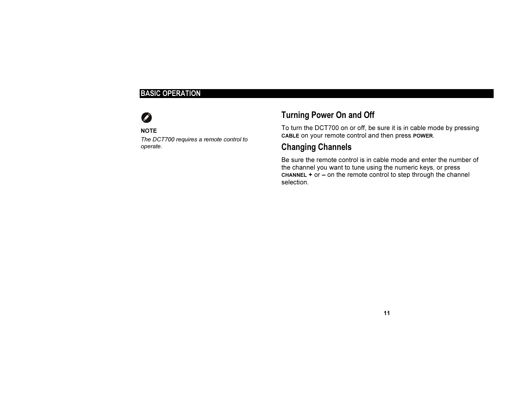# BASIC OPERATION

#### **NOTE**

The DCT700 requires a remote control to operate.

# Turning Power On and Off

To turn the DCT700 on or off, be sure it is in cable mode by pressing CABLE on your remote control and then press POWER.

# Changing Channels

Be sure the remote control is in cable mode and enter the number of the channel you want to tune using the numeric keys, or press CHANNEL + or – on the remote control to step through the channel selection.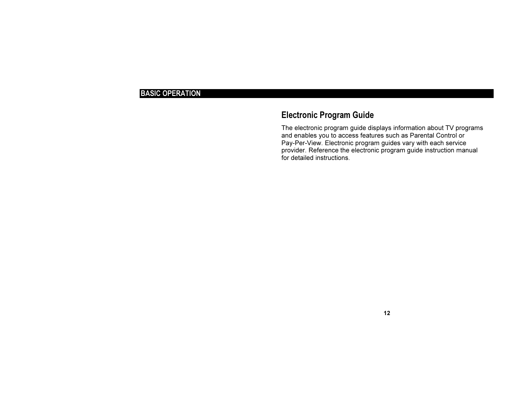# BASIC OPERATION

# Electronic Program Guide

The electronic program guide displays information about TV programs and enables you to access features such as Parental Control or Pay-Per-View. Electronic program guides vary with each service provider. Reference the electronic program guide instruction manual for detailed instructions.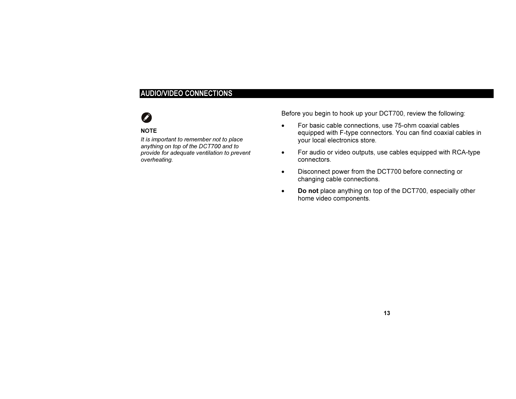# AUDIO/VIDEO CONNECTIONS

### **NOTE**

It is important to remember not to place anything on top of the DCT700 and to provide for adequate ventilation to prevent overheating.

Before you begin to hook up your DCT700, review the following:

- For basic cable connections, use 75-ohm coaxial cables equipped with F-type connectors. You can find coaxial cables in your local electronics store.
- For audio or video outputs, use cables equipped with RCA-type connectors.
- Disconnect power from the DCT700 before connecting or changing cable connections.
- Do not place anything on top of the DCT700, especially other home video components.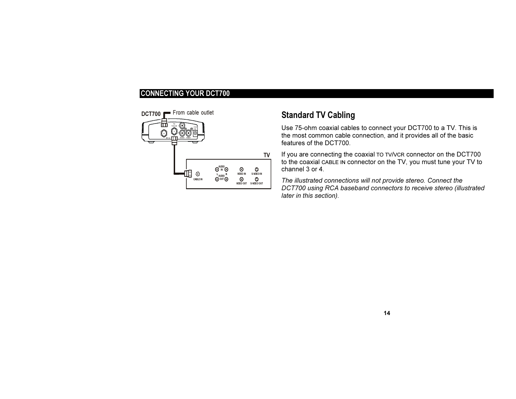

# Standard TV Cabling

Use 75-ohm coaxial cables to connect your DCT700 to a TV. This is the most common cable connection, and it provides all of the basic features of the DCT700.

If you are connecting the coaxial TO TV/VCR connector on the DCT700 to the coaxial CABLE IN connector on the TV, you must tune your TV to channel 3 or 4.

The illustrated connections will not provide stereo. Connect the DCT700 using RCA baseband connectors to receive stereo (illustrated later in this section).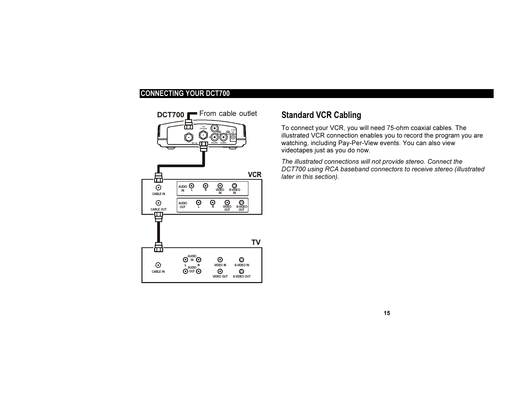

# Standard VCR Cabling

To connect your VCR, you will need 75-ohm coaxial cables. The illustrated VCR connection enables you to record the program you are watching, including Pay-Per-View events. You can also view videotapes just as you do now.

The illustrated connections will not provide stereo. Connect the DCT700 using RCA baseband connectors to receive stereo (illustrated later in this section).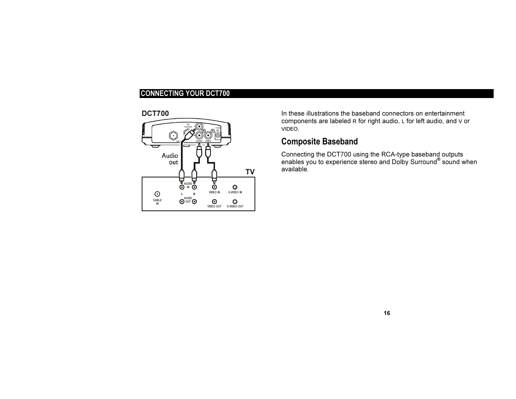

In these illustrations the baseband connectors on entertainment components are labeled <sup>R</sup> for right audio, L for left audio, and V or VIDEO.

# Composite Baseband

Connecting the DCT700 using the RCA-type baseband outputs enables you to experience stereo and Dolby Surround® sound when available.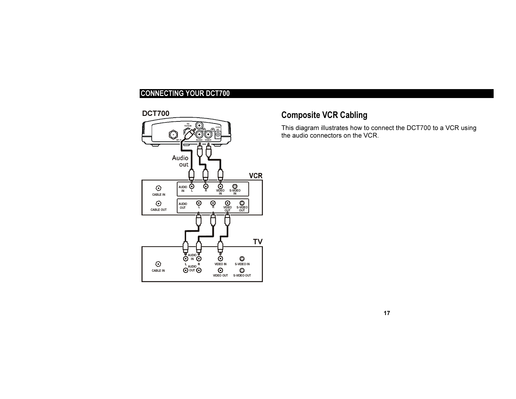DCT700



# Composite VCR Cabling

This diagram illustrates how to connect the DCT700 to a VCR using the audio connectors on the VCR.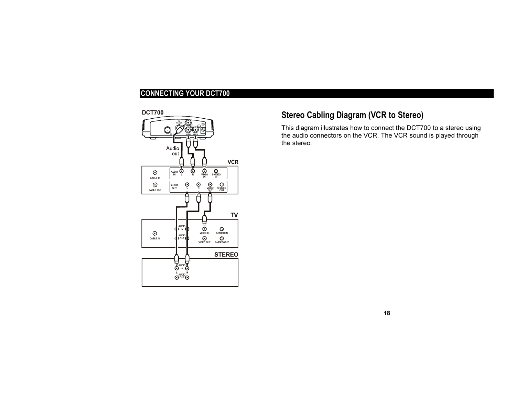DCT700



# Stereo Cabling Diagram (VCR to Stereo)

This diagram illustrates how to connect the DCT700 to a stereo using the audio connectors on the VCR. The VCR sound is played through the stereo.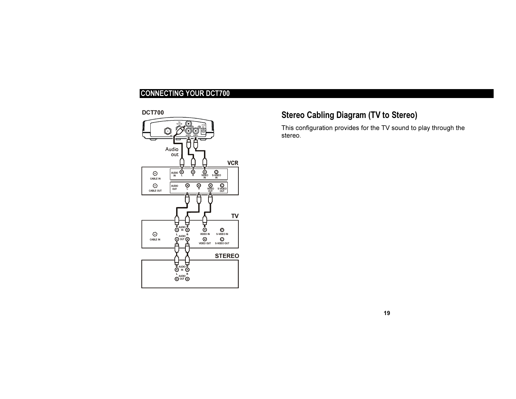DCT700



# Stereo Cabling Diagram (TV to Stereo)

This configuration provides for the TV sound to play through the stereo.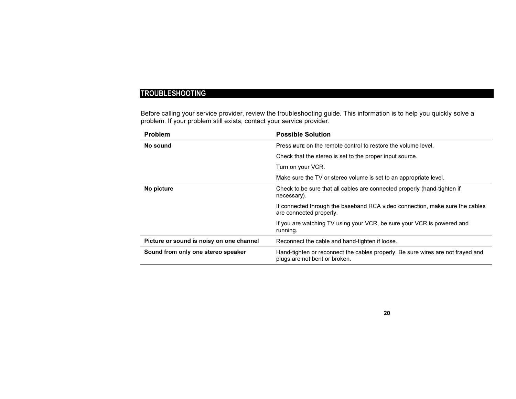# TROUBLESHOOTING

Before calling your service provider, review the troubleshooting guide. This information is to help you quickly solve a problem. If your problem still exists, contact your service provider.

| <b>Problem</b>                           | <b>Possible Solution</b>                                                                                         |
|------------------------------------------|------------------------------------------------------------------------------------------------------------------|
| No sound                                 | Press mute on the remote control to restore the volume level.                                                    |
|                                          | Check that the stereo is set to the proper input source.                                                         |
|                                          | Turn on your VCR.                                                                                                |
|                                          | Make sure the TV or stereo volume is set to an appropriate level.                                                |
| No picture                               | Check to be sure that all cables are connected properly (hand-tighten if<br>necessary).                          |
|                                          | If connected through the baseband RCA video connection, make sure the cables<br>are connected properly.          |
|                                          | If you are watching TV using your VCR, be sure your VCR is powered and<br>running.                               |
| Picture or sound is noisy on one channel | Reconnect the cable and hand-tighten if loose.                                                                   |
| Sound from only one stereo speaker       | Hand-tighten or reconnect the cables properly. Be sure wires are not frayed and<br>plugs are not bent or broken. |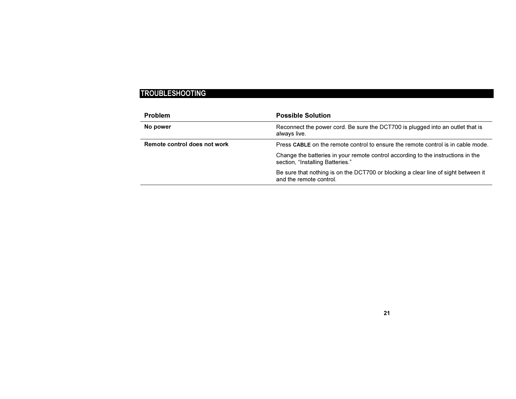# TROUBLESHOOTING

| <b>Problem</b>               | <b>Possible Solution</b>                                                                                             |
|------------------------------|----------------------------------------------------------------------------------------------------------------------|
| No power                     | Reconnect the power cord. Be sure the DCT700 is plugged into an outlet that is<br>always live.                       |
| Remote control does not work | Press CABLE on the remote control to ensure the remote control is in cable mode.                                     |
|                              | Change the batteries in your remote control according to the instructions in the<br>section, "Installing Batteries." |
|                              | Be sure that nothing is on the DCT700 or blocking a clear line of sight between it<br>and the remote control.        |